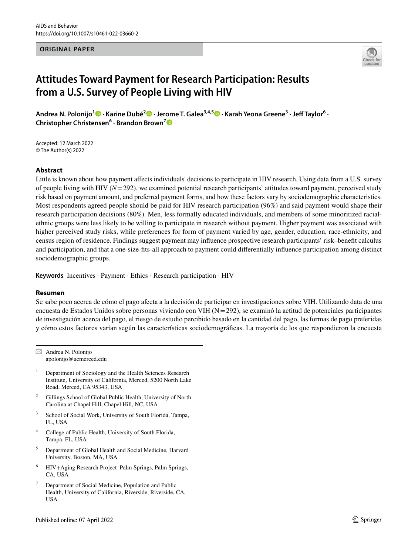#### **ORIGINAL PAPER**



# **Attitudes Toward Payment for Research Participation: Results from a U.S. Survey of People Living with HIV**

**Andrea N. Polonijo1 · Karine Dubé2  [·](http://orcid.org/0000-0003-3458-1539) Jerome T. Galea3,4,5  [·](http://orcid.org/0000-0001-8732-6959) Karah Yeona Greene3 · Jef Taylor6 · Christopher Christensen<sup>6</sup> · Brandon Brown[7](http://orcid.org/0000-0002-6348-4108)**

Accepted: 12 March 2022 © The Author(s) 2022

## **Abstract**

Little is known about how payment afects individuals' decisions to participate in HIV research. Using data from a U.S. survey of people living with HIV  $(N=292)$ , we examined potential research participants' attitudes toward payment, perceived study risk based on payment amount, and preferred payment forms, and how these factors vary by sociodemographic characteristics. Most respondents agreed people should be paid for HIV research participation (96%) and said payment would shape their research participation decisions (80%). Men, less formally educated individuals, and members of some minoritized racialethnic groups were less likely to be willing to participate in research without payment. Higher payment was associated with higher perceived study risks, while preferences for form of payment varied by age, gender, education, race-ethnicity, and census region of residence. Findings suggest payment may infuence prospective research participants' risk–beneft calculus and participation, and that a one-size-fts-all approach to payment could diferentially infuence participation among distinct sociodemographic groups.

**Keywords** Incentives · Payment · Ethics · Research participation · HIV

## **Resumen**

Se sabe poco acerca de cómo el pago afecta a la decisión de participar en investigaciones sobre VIH. Utilizando data de una encuesta de Estados Unidos sobre personas viviendo con VIH ( $N=292$ ), se examinó la actitud de potenciales participantes de investigación acerca del pago, el riesgo de estudio percibido basado en la cantidad del pago, las formas de pago preferidas y cómo estos factores varían según las características sociodemográfcas. La mayoría de los que respondieron la encuesta

 $\boxtimes$  Andrea N. Polonijo apolonijo@ucmerced.edu

- $1$  Department of Sociology and the Health Sciences Research Institute, University of California, Merced, 5200 North Lake Road, Merced, CA 95343, USA
- <sup>2</sup> Gillings School of Global Public Health, University of North Carolina at Chapel Hill, Chapel Hill, NC, USA
- <sup>3</sup> School of Social Work, University of South Florida, Tampa, FL, USA
- <sup>4</sup> College of Public Health, University of South Florida, Tampa, FL, USA
- <sup>5</sup> Department of Global Health and Social Medicine, Harvard University, Boston, MA, USA
- <sup>6</sup> HIV+Aging Research Project–Palm Springs, Palm Springs, CA, USA
- Department of Social Medicine, Population and Public Health, University of California, Riverside, Riverside, CA, USA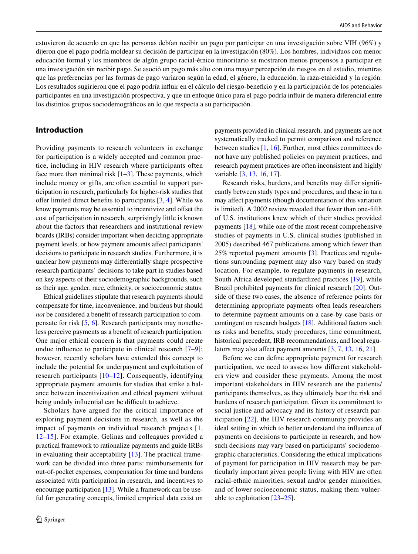estuvieron de acuerdo en que las personas debían recibir un pago por participar en una investigación sobre VIH (96%) y dijeron que el pago podría moldear su decisión de participar en la investigación (80%). Los hombres, individuos con menor educación formal y los miembros de algún grupo racial-étnico minoritario se mostraron menos propensos a participar en una investigación sin recibir pago. Se asoció un pago más alto con una mayor percepción de riesgos en el estudio, mientras que las preferencias por las formas de pago variaron según la edad, el género, la educación, la raza-etnicidad y la región. Los resultados sugirieron que el pago podría influir en el cálculo del riesgo-beneficio y en la participación de los potenciales participantes en una investigación prospectiva, y que un enfoque único para el pago podría infuir de manera diferencial entre los distintos grupos sociodemográfcos en lo que respecta a su participación.

# **Introduction**

Providing payments to research volunteers in exchange for participation is a widely accepted and common practice, including in HIV research where participants often face more than minimal risk  $[1-3]$  $[1-3]$  $[1-3]$ . These payments, which include money or gifts, are often essential to support participation in research, particularly for higher-risk studies that offer limited direct benefits to participants  $[3, 4]$  $[3, 4]$  $[3, 4]$  $[3, 4]$  $[3, 4]$ . While we know payments may be essential to incentivize and ofset the cost of participation in research, surprisingly little is known about the factors that researchers and institutional review boards (IRBs) consider important when deciding appropriate payment levels, or how payment amounts afect participants' decisions to participate in research studies. Furthermore, it is unclear how payments may diferentially shape prospective research participants' decisions to take part in studies based on key aspects of their sociodemographic backgrounds, such as their age, gender, race, ethnicity, or socioeconomic status.

Ethical guidelines stipulate that research payments should compensate for time, inconvenience, and burdens but should *not* be considered a beneft of research participation to compensate for risk [[5](#page-10-3), [6](#page-10-4)]. Research participants may nonetheless perceive payments as a beneft of research participation. One major ethical concern is that payments could create undue infuence to participate in clinical research [\[7](#page-10-5)–[9\]](#page-10-6); however, recently scholars have extended this concept to include the potential for underpayment and exploitation of research participants [[10–](#page-10-7)[12](#page-10-8)]. Consequently, identifying appropriate payment amounts for studies that strike a balance between incentivization and ethical payment without being unduly influential can be difficult to achieve.

Scholars have argued for the critical importance of exploring payment decisions in research, as well as the impact of payments on individual research projects [\[1,](#page-10-0) [12](#page-10-8)–[15\]](#page-10-9). For example, Gelinas and colleagues provided a practical framework to rationalize payments and guide IRBs in evaluating their acceptability [[13\]](#page-10-10). The practical framework can be divided into three parts: reimbursements for out-of-pocket expenses, compensation for time and burdens associated with participation in research, and incentives to encourage participation [\[13](#page-10-10)]. While a framework can be useful for generating concepts, limited empirical data exist on payments provided in clinical research, and payments are not systematically tracked to permit comparison and reference between studies [\[1](#page-10-0), [16](#page-10-11)]. Further, most ethics committees do not have any published policies on payment practices, and research payment practices are often inconsistent and highly variable [[3,](#page-10-1) [13,](#page-10-10) [16,](#page-10-11) [17\]](#page-10-12).

Research risks, burdens, and benefts may difer signifcantly between study types and procedures, and these in turn may afect payments (though documentation of this variation is limited). A 2002 review revealed that fewer than one-ffth of U.S. institutions knew which of their studies provided payments [\[18](#page-10-13)], while one of the most recent comprehensive studies of payments in U.S. clinical studies (published in 2005) described 467 publications among which fewer than 25% reported payment amounts [\[3](#page-10-1)]. Practices and regulations surrounding payment may also vary based on study location. For example, to regulate payments in research, South Africa developed standardized practices [[19](#page-10-14)], while Brazil prohibited payments for clinical research [[20](#page-10-15)]. Outside of these two cases, the absence of reference points for determining appropriate payments often leads researchers to determine payment amounts on a case-by-case basis or contingent on research budgets [\[18](#page-10-13)]. Additional factors such as risks and benefts, study procedures, time commitment, historical precedent, IRB recommendations, and local regu-lators may also affect payment amounts [\[3](#page-10-1), [7](#page-10-5), [13](#page-10-10), [16](#page-10-11), [21](#page-10-16)].

Before we can defne appropriate payment for research participation, we need to assess how diferent stakeholders view and consider these payments. Among the most important stakeholders in HIV research are the patients/ participants themselves, as they ultimately bear the risk and burdens of research participation. Given its commitment to social justice and advocacy and its history of research participation [[22](#page-10-17)], the HIV research community provides an ideal setting in which to better understand the infuence of payments on decisions to participate in research, and how such decisions may vary based on participants' sociodemographic characteristics. Considering the ethical implications of payment for participation in HIV research may be particularly important given people living with HIV are often racial-ethnic minorities, sexual and/or gender minorities, and of lower socioeconomic status, making them vulnerable to exploitation [[23–](#page-10-18)[25](#page-11-0)].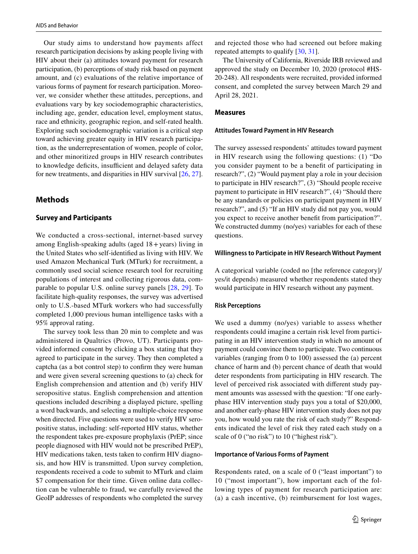Our study aims to understand how payments affect research participation decisions by asking people living with HIV about their (a) attitudes toward payment for research participation, (b) perceptions of study risk based on payment amount, and (c) evaluations of the relative importance of various forms of payment for research participation. Moreover, we consider whether these attitudes, perceptions, and evaluations vary by key sociodemographic characteristics, including age, gender, education level, employment status, race and ethnicity, geographic region, and self-rated health. Exploring such sociodemographic variation is a critical step toward achieving greater equity in HIV research participation, as the underrepresentation of women, people of color, and other minoritized groups in HIV research contributes to knowledge deficits, insufficient and delayed safety data for new treatments, and disparities in HIV survival [\[26](#page-11-1), [27](#page-11-2)].

# **Methods**

## **Survey and Participants**

We conducted a cross-sectional, internet-based survey among English-speaking adults (aged 18+years) living in the United States who self-identifed as living with HIV. We used Amazon Mechanical Turk (MTurk) for recruitment, a commonly used social science research tool for recruiting populations of interest and collecting rigorous data, comparable to popular U.S. online survey panels [[28](#page-11-3), [29](#page-11-4)]. To facilitate high-quality responses, the survey was advertised only to U.S.-based MTurk workers who had successfully completed 1,000 previous human intelligence tasks with a 95% approval rating.

The survey took less than 20 min to complete and was administered in Qualtrics (Provo, UT). Participants provided informed consent by clicking a box stating that they agreed to participate in the survey. They then completed a captcha (as a bot control step) to confrm they were human and were given several screening questions to (a) check for English comprehension and attention and (b) verify HIV seropositive status. English comprehension and attention questions included describing a displayed picture, spelling a word backwards, and selecting a multiple-choice response when directed. Five questions were used to verify HIV seropositive status, including: self-reported HIV status, whether the respondent takes pre-exposure prophylaxis (PrEP; since people diagnosed with HIV would not be prescribed PrEP), HIV medications taken, tests taken to confrm HIV diagnosis, and how HIV is transmitted. Upon survey completion, respondents received a code to submit to MTurk and claim \$7 compensation for their time. Given online data collection can be vulnerable to fraud, we carefully reviewed the GeoIP addresses of respondents who completed the survey and rejected those who had screened out before making repeated attempts to qualify [\[30](#page-11-5), [31](#page-11-6)].

The University of California, Riverside IRB reviewed and approved the study on December 10, 2020 (protocol #HS-20-248). All respondents were recruited, provided informed consent, and completed the survey between March 29 and April 28, 2021.

## **Measures**

#### **Attitudes Toward Payment in HIV Research**

The survey assessed respondents' attitudes toward payment in HIV research using the following questions: (1) "Do you consider payment to be a beneft of participating in research?", (2) "Would payment play a role in your decision to participate in HIV research?", (3) "Should people receive payment to participate in HIV research?", (4) "Should there be any standards or policies on participant payment in HIV research?", and (5) "If an HIV study did not pay you, would you expect to receive another beneft from participation?". We constructed dummy (no/yes) variables for each of these questions.

#### **Willingness to Participate in HIV Research Without Payment**

A categorical variable (coded no [the reference category]/ yes/it depends) measured whether respondents stated they would participate in HIV research without any payment.

## **Risk Perceptions**

We used a dummy (no/yes) variable to assess whether respondents could imagine a certain risk level from participating in an HIV intervention study in which no amount of payment could convince them to participate. Two continuous variables (ranging from 0 to 100) assessed the (a) percent chance of harm and (b) percent chance of death that would deter respondents from participating in HIV research. The level of perceived risk associated with diferent study payment amounts was assessed with the question: "If one earlyphase HIV intervention study pays you a total of \$20,000, and another early-phase HIV intervention study does not pay you, how would you rate the risk of each study?" Respondents indicated the level of risk they rated each study on a scale of 0 ("no risk") to 10 ("highest risk").

## **Importance of Various Forms of Payment**

Respondents rated, on a scale of 0 ("least important") to 10 ("most important"), how important each of the following types of payment for research participation are: (a) a cash incentive, (b) reimbursement for lost wages,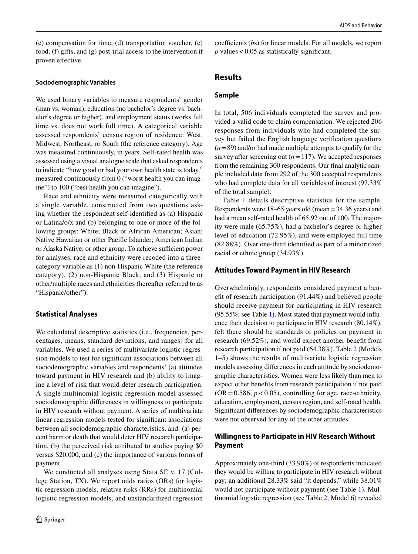(c) compensation for time, (d) transportation voucher, (e) food, (f) gifts, and (g) post-trial access to the intervention if proven effective.

#### **Sociodemographic Variables**

We used binary variables to measure respondents' gender (man vs. woman), education (no bachelor's degree vs. bachelor's degree or higher), and employment status (works full time vs. does not work full time). A categorical variable assessed respondents' census region of residence: West, Midwest, Northeast, or South (the reference category). Age was measured continuously, in years. Self-rated health was assessed using a visual analogue scale that asked respondents to indicate "how good or bad your own health state is today," measured continuously from 0 ("worst health you can imagine") to 100 ("best health you can imagine").

Race and ethnicity were measured categorically with a single variable, constructed from two questions asking whether the respondent self-identifed as (a) Hispanic or Latina/o/x and (b) belonging to one or more of the following groups: White; Black or African American; Asian; Native Hawaiian or other Pacifc Islander; American Indian or Alaska Native; or other group. To achieve sufficient power for analyses, race and ethnicity were recoded into a threecategory variable as (1) non-Hispanic White (the reference category), (2) non-Hispanic Black, and (3) Hispanic or other/multiple races and ethnicities (hereafter referred to as "Hispanic/other").

## **Statistical Analyses**

We calculated descriptive statistics (i.e., frequencies, percentages, means, standard deviations, and ranges) for all variables. We used a series of multivariate logistic regression models to test for signifcant associations between all sociodemographic variables and respondents' (a) attitudes toward payment in HIV research and (b) ability to imagine a level of risk that would deter research participation. A single multinomial logistic regression model assessed sociodemographic diferences in willingness to participate in HIV research without payment. A series of multivariate linear regression models tested for signifcant associations between all sociodemographic characteristics, and: (a) percent harm or death that would deter HIV research participation, (b) the perceived risk attributed to studies paying \$0 versus \$20,000, and (c) the importance of various forms of payment.

We conducted all analyses using Stata SE v. 17 (College Station, TX). We report odds ratios (ORs) for logistic regression models, relative risks (RRs) for multinomial logistic regression models, and unstandardized regression coefficients (bs) for linear models. For all models, we report  $p$  values  $< 0.05$  as statistically significant.

## **Results**

## **Sample**

In total, 506 individuals completed the survey and provided a valid code to claim compensation. We rejected 206 responses from individuals who had completed the survey but failed the English language verifcation questions  $(n=89)$  and/or had made multiple attempts to qualify for the survey after screening out  $(n=117)$ . We accepted responses from the remaining 300 respondents. Our fnal analytic sample included data from 292 of the 300 accepted respondents who had complete data for all variables of interest (97.33% of the total sample).

Table [1](#page-4-0) details descriptive statistics for the sample. Respondents were 18–65 years old (mean=34.36 years) and had a mean self-rated health of 65.92 out of 100. The majority were male (65.75%), had a bachelor's degree or higher level of education (72.95%), and were employed full time (82.88%). Over one-third identifed as part of a minoritized racial or ethnic group (34.93%).

#### **Attitudes Toward Payment in HIV Research**

Overwhelmingly, respondents considered payment a beneft of research participation (91.44%) and believed people should receive payment for participating in HIV research (95.55%; see Table [1\)](#page-4-0). Most stated that payment would infuence their decision to participate in HIV research (80.14%), felt there should be standards or policies on payment in research (69.52%), and would expect another beneft from research participation if not paid (64.38%). Table [2](#page-5-0) (Models 1–5) shows the results of multivariate logistic regression models assessing diferences in each attitude by sociodemographic characteristics. Women were less likely than men to expect other benefts from research participation if not paid  $(OR = 0.586, p < 0.05)$ , controlling for age, race-ethnicity, education, employment, census region, and self-rated health. Signifcant diferences by sociodemographic characteristics were not observed for any of the other attitudes.

# **Willingness to Participate in HIV Research Without Payment**

Approximately one-third (33.90%) of respondents indicated they would be willing to participate in HIV research without pay; an additional 28.33% said "it depends," while 38.01% would not participate without payment (see Table [1](#page-4-0)). Multinomial logistic regression (see Table [2](#page-5-0), Model 6) revealed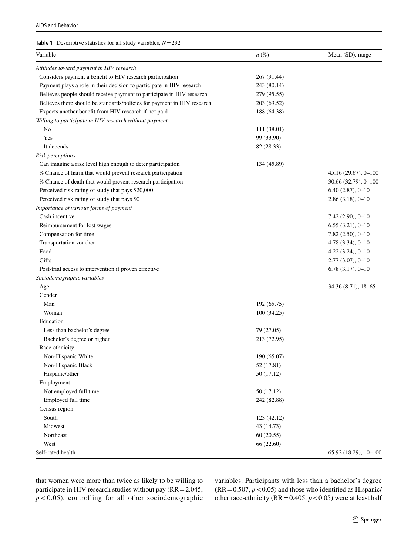#### <span id="page-4-0"></span>**Table 1** Descriptive statistics for all study variables, *N*=292

| Variable                                                                | $n\,(\%)$   | Mean (SD), range      |
|-------------------------------------------------------------------------|-------------|-----------------------|
| Attitudes toward payment in HIV research                                |             |                       |
| Considers payment a benefit to HIV research participation               | 267 (91.44) |                       |
| Payment plays a role in their decision to participate in HIV research   | 243 (80.14) |                       |
| Believes people should receive payment to participate in HIV research   | 279 (95.55) |                       |
| Believes there should be standards/policies for payment in HIV research | 203 (69.52) |                       |
| Expects another benefit from HIV research if not paid                   | 188 (64.38) |                       |
| Willing to participate in HIV research without payment                  |             |                       |
| No                                                                      | 111 (38.01) |                       |
| Yes                                                                     | 99 (33.90)  |                       |
| It depends                                                              | 82 (28.33)  |                       |
| Risk perceptions                                                        |             |                       |
| Can imagine a risk level high enough to deter participation             | 134 (45.89) |                       |
| % Chance of harm that would prevent research participation              |             | 45.16 (29.67), 0-100  |
| % Chance of death that would prevent research participation             |             | 30.66 (32.79), 0-100  |
| Perceived risk rating of study that pays \$20,000                       |             | $6.40(2.87), 0 - 10$  |
| Perceived risk rating of study that pays \$0                            |             | $2.86(3.18), 0 - 10$  |
| Importance of various forms of payment                                  |             |                       |
| Cash incentive                                                          |             | $7.42(2.90), 0 - 10$  |
| Reimbursement for lost wages                                            |             | $6.55(3.21), 0 - 10$  |
| Compensation for time                                                   |             | $7.82(2.50), 0 - 10$  |
| Transportation voucher                                                  |             | $4.78(3.34), 0 - 10$  |
| Food                                                                    |             | $4.22(3.24), 0 - 10$  |
| Gifts                                                                   |             | $2.77(3.07), 0 - 10$  |
| Post-trial access to intervention if proven effective                   |             | $6.78(3.17)$ . 0-10   |
| Sociodemographic variables                                              |             |                       |
| Age                                                                     |             | 34.36 (8.71), 18–65   |
| Gender                                                                  |             |                       |
| Man                                                                     | 192 (65.75) |                       |
| Woman                                                                   | 100(34.25)  |                       |
| Education                                                               |             |                       |
| Less than bachelor's degree                                             | 79 (27.05)  |                       |
| Bachelor's degree or higher                                             | 213 (72.95) |                       |
| Race-ethnicity                                                          |             |                       |
| Non-Hispanic White                                                      | 190 (65.07) |                       |
| Non-Hispanic Black                                                      | 52 (17.81)  |                       |
| Hispanic/other                                                          | 50 (17.12)  |                       |
| Employment                                                              |             |                       |
| Not employed full time                                                  | 50 (17.12)  |                       |
| Employed full time                                                      | 242 (82.88) |                       |
| Census region                                                           |             |                       |
| South                                                                   | 123 (42.12) |                       |
| Midwest                                                                 | 43 (14.73)  |                       |
| Northeast                                                               | 60(20.55)   |                       |
| West                                                                    | 66 (22.60)  |                       |
| Self-rated health                                                       |             | 65.92 (18.29), 10-100 |

that women were more than twice as likely to be willing to participate in HIV research studies without pay (RR=2.045,  $p$  < 0.05), controlling for all other sociodemographic variables. Participants with less than a bachelor's degree  $(RR = 0.507, p < 0.05)$  and those who identified as Hispanic/ other race-ethnicity ( $RR = 0.405$ ,  $p < 0.05$ ) were at least half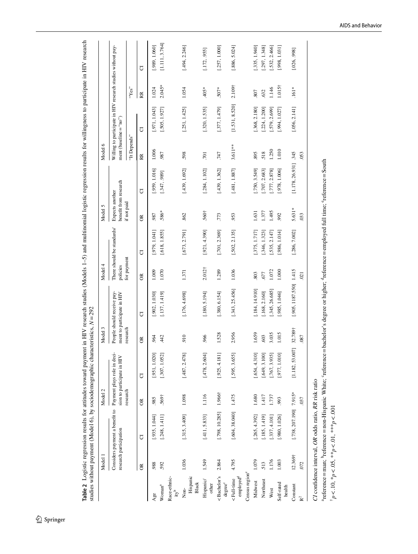<span id="page-5-0"></span>

| l                                                                                                                         |                                                                                                                                                                                                                                                             |
|---------------------------------------------------------------------------------------------------------------------------|-------------------------------------------------------------------------------------------------------------------------------------------------------------------------------------------------------------------------------------------------------------|
| i                                                                                                                         |                                                                                                                                                                                                                                                             |
|                                                                                                                           |                                                                                                                                                                                                                                                             |
| l                                                                                                                         | l<br>I                                                                                                                                                                                                                                                      |
| l<br>$\mathbf{I}$<br>ļ<br>i i de a<br>Ï<br>,,,,,,<br>۱                                                                    | ł<br>ļ<br>$\frac{1}{2}$<br>î<br>i<br>֧֧֧֧֧֧ׅ֧֧֦֧ׅ֧ׅ֧֧ׅ֧ׅ֧֦֧֧֧֧֧֧֧֛֚֚֚֚֚֚֚֚֚֚֚֚֚֚֚֚֚֚֚֚֚֚֚֚֚֚֚֚֚֝֝֓֝֟֓֝֓֝֬֜֓֜֓֜֜֜֜֝֬֜֝֬֜<br>ׇׇ֠֕֡                                                                                                                            |
| Í<br>ていけ<br>ì<br>ĺ<br>j<br>- 1<br>1<br>1<br>1                                                                             | $\frac{1}{2}$<br>j<br>Ì                                                                                                                                                                                                                                     |
| Ï<br>֦֧֖֧֧֚֚֚֚֚֚֚֚֚֚֚֚֚֚֚֝֝֝֝֬֝֓֝֬֝֓֝֬֝֬֝֬֝֬֝֓֬֝֓֝֬֝֓֬<br>$\overline{1}$<br>j<br>İ<br>l<br>l<br>is control<br>ī<br>I<br>I | i<br>i<br>:<br>ı<br>i<br>i<br>is a complete the complete of the complete of the complete of the complete of the complete of the complete of the complete of the complete of the complete of the complete of the complete of the complete of the complete of |

|                                                                                                                                                                                                                                                                                                                                               | Model 1                |                                                                                 | Model <sub>2</sub> |                                                                                                                                                  | Model 3   |                                                          | Model 4            |                            | Model 5           |                        | Model 6                  |                                                             |                    |                |
|-----------------------------------------------------------------------------------------------------------------------------------------------------------------------------------------------------------------------------------------------------------------------------------------------------------------------------------------------|------------------------|---------------------------------------------------------------------------------|--------------------|--------------------------------------------------------------------------------------------------------------------------------------------------|-----------|----------------------------------------------------------|--------------------|----------------------------|-------------------|------------------------|--------------------------|-------------------------------------------------------------|--------------------|----------------|
|                                                                                                                                                                                                                                                                                                                                               | research participation | Considers payment a benefit to Payment plays role in deci-                      |                    | sion to participate in HIV                                                                                                                       |           | People should receive pay-<br>ment to participate in HIV | policies           | There should be standards/ | Expects another   | benefit from research  | ment (baseline $=$ "no") | Willing to participate in HIV research studies without pay- |                    |                |
|                                                                                                                                                                                                                                                                                                                                               |                        |                                                                                 | research           |                                                                                                                                                  | research  |                                                          | for payment        |                            | if not paid       |                        | "It Depends"             |                                                             | "Yes"              |                |
|                                                                                                                                                                                                                                                                                                                                               | $\approx$              | ℧                                                                               | $\approx$          | J                                                                                                                                                | $\approx$ | đ                                                        | $\approx$          | đ                          | $\approx$         | ð                      | Ř                        | J                                                           | RR                 | J              |
| Age                                                                                                                                                                                                                                                                                                                                           | 988                    | [.935, 1.044]                                                                   | ,985               | [.951, 1.020]                                                                                                                                    | 964       | [.902, 1.030]                                            | 1.009              | [140.1.979, 1.041]         | 987               | [.959, 1.016]          | 1.006                    | [.971, 1.043]                                               | 1.024              | [.989, 1.060]  |
| Woman <sup>a</sup>                                                                                                                                                                                                                                                                                                                            | 592                    | [.248, 1.411]                                                                   | $.569+$            | [.307, 1.052]                                                                                                                                    | 42        | [.137, 1.419]                                            | 1.070              | [.618, 1.855]              | .586*             | [.347, .989]           | 987                      | [.505, 1.927]                                               | $2.045*$           | [1.111, 3.764] |
| Race-ethnic-<br>$\mathbf{u}$                                                                                                                                                                                                                                                                                                                  |                        |                                                                                 |                    |                                                                                                                                                  |           |                                                          |                    |                            |                   |                        |                          |                                                             |                    |                |
| Hispanic<br>Black<br>$\overline{N}$ on-                                                                                                                                                                                                                                                                                                       | 1.036                  | [.315, 3.409]                                                                   | 1.098              | [.487, 2.478]                                                                                                                                    | 910       | [.176, 4.698]                                            | 1.371              | [.673, 2.791]              | .862              | [.439, 1.692]          | 598                      | [.251, 1.425]                                               | 1.054              | [.494, 2.246]  |
| Hispanic/<br>other                                                                                                                                                                                                                                                                                                                            | 1.549                  | [.411, 5.833]                                                                   | 1.116              | [.478, 2.604]                                                                                                                                    | 966       | [.180, 5.194]                                            | 2.012 <sup>†</sup> | [.921, 4.390]              | .560 <sup>†</sup> | [.284, 1.102]          | $\overline{701}$         | [.320, 1.535]                                               | $*504.$            | [.172, .955]   |
| <bachelor's<br>degree<sup>c</sup></bachelor's<br>                                                                                                                                                                                                                                                                                             | 2.864                  | $[.798, 10.285]$ 1.966†                                                         |                    | [.925, 4.181]                                                                                                                                    | 1.528     | [.380, 6.154]                                            | 1.289              | [.701, 2.369]              | .773              | [.439, 1.362]          | 747                      | [.377, 1.479]                                               | $.507*$            | [.257, 1.000]  |
| $\mathbf{employed}^\mathbf{d}$<br><full-time< td=""><td>4.795</td><td>[.604, 38.040]</td><td>1.475</td><td>[.595, 3.655]</td><td>2.956</td><td>[.343, 25.456]</td><td>1.036</td><td>[.502, 2.135]</td><td>953</td><td>[.481, 1.887]</td><td>3.611 **</td><td>[1.531, 8.520]</td><td>2.109<sup>†</sup></td><td>[.886, 5.024]</td></full-time<> | 4.795                  | [.604, 38.040]                                                                  | 1.475              | [.595, 3.655]                                                                                                                                    | 2.956     | [.343, 25.456]                                           | 1.036              | [.502, 2.135]              | 953               | [.481, 1.887]          | 3.611 **                 | [1.531, 8.520]                                              | 2.109 <sup>†</sup> | [.886, 5.024]  |
| Census region <sup>e</sup>                                                                                                                                                                                                                                                                                                                    |                        |                                                                                 |                    |                                                                                                                                                  |           |                                                          |                    |                            |                   |                        |                          |                                                             |                    |                |
| Midwest                                                                                                                                                                                                                                                                                                                                       | 1.079                  | [.265, 4.392]                                                                   | 1.680              | [.654, 4.310]                                                                                                                                    | 1.659     | [.184, 14.910]                                           | 803                | .375, 1.717                | 1.631             | [.750, 3.549]          | 895                      | [.368, 2.180]                                               | 807                | 335, 1.940]    |
| Northeast                                                                                                                                                                                                                                                                                                                                     | 513                    | [.185, 1.419]                                                                   | 1.417              | [.649, 3.100]                                                                                                                                    | 603       | [.168, 2.160]                                            | 677                | .346, 1.323]               | 1.377             | [.707, 2.683]          | 518                      | 224, 1.200]                                                 | .632               | .297, 1.348    |
| West                                                                                                                                                                                                                                                                                                                                          | 1.176                  | .337, 4.101                                                                     | 1.737              | 767, 3.935]                                                                                                                                      | 3.035     | [.345, 26.685]                                           | 1.072              | .535, 2.147                | 1.495             | 777, 2.878]            | 1.250                    | 579, 2.699]                                                 | 1.146              | 532, 2.466]    |
| Self-rated<br>health                                                                                                                                                                                                                                                                                                                          | 1.003                  | [.980, 1.026]                                                                   | 993                | [.977, 1.010]                                                                                                                                    | 1.015     | [.985, 1.046]                                            | 1.000              | .986, 1.014                | 992               | [.978, 1.006]          | 1.010                    | [.994, 1.027]                                               | $1.015\dagger$     | 998, 1.031]    |
| Constant                                                                                                                                                                                                                                                                                                                                      | 12.369†                | $[.738, 207.190]$ 7.915*                                                        |                    | $\overline{E}$<br>[1.182, 53.00]                                                                                                                 | 32.789†   | [.905, 1187.550] 1.415                                   |                    | [.286, 7.002]              | 5.631*            | $[1.178, 26.931]$ .345 |                          | [.056, 2.141]                                               | $.161*$            | [.026, .998]   |
| $\mathbf{R}^2$                                                                                                                                                                                                                                                                                                                                | 072                    |                                                                                 | 037                |                                                                                                                                                  | .087      |                                                          | 021                |                            | 033               |                        | .053                     |                                                             |                    |                |
|                                                                                                                                                                                                                                                                                                                                               |                        | CI confidence interval, OR odds ratio, RR risk ratio                            |                    |                                                                                                                                                  |           |                                                          |                    |                            |                   |                        |                          |                                                             |                    |                |
|                                                                                                                                                                                                                                                                                                                                               |                        |                                                                                 |                    | "reference = man; "reference = non-Hispanic White; "reference = bachelor's degree or higher; "reference = employed full time; "reference = South |           |                                                          |                    |                            |                   |                        |                          |                                                             |                    |                |
|                                                                                                                                                                                                                                                                                                                                               |                        | $\frac{1}{p}p < 10, \frac{*}{p} < 0.05, \frac{*}{p} < 0.01, \frac{*}{p} < 0.01$ |                    |                                                                                                                                                  |           |                                                          |                    |                            |                   |                        |                          |                                                             |                    |                |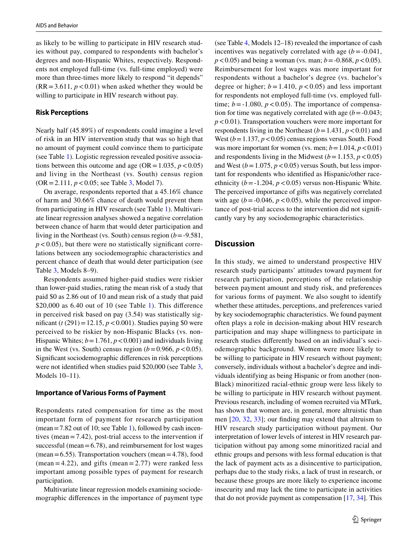as likely to be willing to participate in HIV research studies without pay, compared to respondents with bachelor's degrees and non-Hispanic Whites, respectively. Respondents not employed full-time (vs. full-time employed) were more than three-times more likely to respond "it depends"  $(RR = 3.611, p < 0.01)$  when asked whether they would be willing to participate in HIV research without pay.

## **Risk Perceptions**

Nearly half (45.89%) of respondents could imagine a level of risk in an HIV intervention study that was so high that no amount of payment could convince them to participate (see Table [1](#page-4-0)). Logistic regression revealed positive associations between this outcome and age ( $OR = 1.035$ ,  $p < 0.05$ ) and living in the Northeast (vs. South) census region (OR=2.111, *p*<0.05; see Table [3,](#page-7-0) Model 7).

On average, respondents reported that a 45.16% chance of harm and 30.66% chance of death would prevent them from participating in HIV research (see Table [1\)](#page-4-0). Multivariate linear regression analyses showed a negative correlation between chance of harm that would deter participation and living in the Northeast (vs. South) census region (*b*=-9.581,  $p$ <0.05), but there were no statistically significant correlations between any sociodemographic characteristics and percent chance of death that would deter participation (see Table [3](#page-7-0), Models 8–9).

Respondents assumed higher-paid studies were riskier than lower-paid studies, rating the mean risk of a study that paid \$0 as 2.86 out of 10 and mean risk of a study that paid \$20,000 as 6.40 out of [1](#page-4-0)0 (see Table 1). This difference in perceived risk based on pay (3.54) was statistically significant ( $t(291) = 12.15$ ,  $p < 0.001$ ). Studies paying \$0 were perceived to be riskier by non-Hispanic Blacks (vs. non-Hispanic Whites;  $b = 1.761$ ,  $p < 0.001$ ) and individuals living in the West (vs. South) census region  $(b=0.966, p<0.05)$ . Signifcant sociodemographic diferences in risk perceptions were not identifed when studies paid \$20,000 (see Table [3,](#page-7-0) Models 10–11).

## **Importance of Various Forms of Payment**

Respondents rated compensation for time as the most important form of payment for research participation  $(mean = 7.82$  out of [1](#page-4-0)0; see Table 1), followed by cash incentives (mean=7.42), post-trial access to the intervention if successful (mean  $= 6.78$ ), and reimbursement for lost wages  $(mean = 6.55)$ . Transportation vouchers  $(mean = 4.78)$ , food (mean = 4.22), and gifts (mean =  $2.77$ ) were ranked less important among possible types of payment for research participation.

Multivariate linear regression models examining sociodemographic diferences in the importance of payment type (see Table [4](#page-8-0), Models 12–18) revealed the importance of cash incentives was negatively correlated with age  $(b = -0.041,$  $p$  < 0.05) and being a woman (vs. man;  $b$  = -0.868,  $p$  < 0.05). Reimbursement for lost wages was more important for respondents without a bachelor's degree (vs. bachelor's degree or higher;  $b = 1.410$ ,  $p < 0.05$ ) and less important for respondents not employed full-time (vs. employed fulltime;  $b = -1.080$ ,  $p < 0.05$ ). The importance of compensation for time was negatively correlated with age  $(b = -0.043)$ ; *p*<0.01). Transportation vouchers were more important for respondents living in the Northeast  $(b=1.431, p<0.01)$  and West  $(b=1.137, p<0.05)$  census regions versus South. Food was more important for women (vs. men;  $b = 1.014$ ,  $p < 0.01$ ) and respondents living in the Midwest  $(b=1.153, p<0.05)$ and West  $(b=1.075, p<0.05)$  versus South, but less important for respondents who identifed as Hispanic/other raceethnicity  $(b = -1.204, p < 0.05)$  versus non-Hispanic White. The perceived importance of gifts was negatively correlated with age  $(b = -0.046, p < 0.05)$ , while the perceived importance of post-trial access to the intervention did not signifcantly vary by any sociodemographic characteristics.

# **Discussion**

In this study, we aimed to understand prospective HIV research study participants' attitudes toward payment for research participation, perceptions of the relationship between payment amount and study risk, and preferences for various forms of payment. We also sought to identify whether these attitudes, perceptions, and preferences varied by key sociodemographic characteristics. We found payment often plays a role in decision-making about HIV research participation and may shape willingness to participate in research studies diferently based on an individual's sociodemographic background. Women were more likely to be willing to participate in HIV research without payment; conversely, individuals without a bachelor's degree and individuals identifying as being Hispanic or from another (non-Black) minoritized racial-ethnic group were less likely to be willing to participate in HIV research without payment. Previous research, including of women recruited via MTurk, has shown that women are, in general, more altruistic than men [\[20](#page-10-15), [32](#page-11-7), [33](#page-11-8)]; our fnding may extend that altruism to HIV research study participation without payment. Our interpretation of lower levels of interest in HIV research participation without pay among some minoritized racial and ethnic groups and persons with less formal education is that the lack of payment acts as a disincentive to participation, perhaps due to the study risks, a lack of trust in research, or because these groups are more likely to experience income insecurity and may lack the time to participate in activities that do not provide payment as compensation [\[17](#page-10-12), [34](#page-11-9)]. This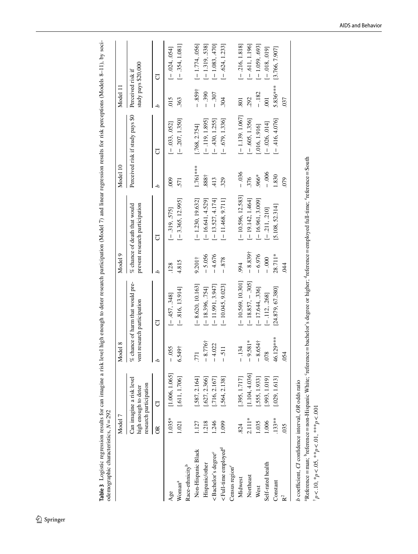| i<br>l                                                                         |                                         |
|--------------------------------------------------------------------------------|-----------------------------------------|
|                                                                                |                                         |
| l                                                                              |                                         |
|                                                                                |                                         |
| $\ddot{ }$                                                                     |                                         |
|                                                                                |                                         |
| i<br>c i i i                                                                   |                                         |
| $-11.7$                                                                        |                                         |
|                                                                                |                                         |
| å                                                                              |                                         |
|                                                                                |                                         |
| $\ddot{\phantom{0}}$                                                           |                                         |
| Ì                                                                              |                                         |
|                                                                                |                                         |
|                                                                                |                                         |
| i                                                                              |                                         |
|                                                                                |                                         |
| ı<br>i<br>֧֧֧֧֧֧֧֧֛֧֧֧֛֛֛֪֛֪֦֧֚֚֚֚֚֚֚֚֚֚֚֚֚֚֚֚֚֟֕֓֕֝֬֝֓֝֬֝֟֓֝֬֜֝֓֝֬֜֝֬֜֝֬֜֝֜֝֝ |                                         |
| $-$ and $\sim$                                                                 |                                         |
| į<br>L<br>i<br>l<br>ׇ֠                                                         |                                         |
|                                                                                |                                         |
| $\frac{1}{2}$<br>ı                                                             |                                         |
|                                                                                |                                         |
| .<br>.<br>.<br>.                                                               | J<br>زند<br>ا<br>֖֚֚֚֚֡֝<br>֚֚֚֚֚֚֚֚֚֚֚ |
|                                                                                | ļ<br>ī                                  |
| i<br>I<br>I<br>I<br>I<br>I<br>I                                                | <b>Contract Contract Contract</b>       |
| $\ddot{\phantom{a}}$                                                           |                                         |
| b<br>I<br>į                                                                    | Į                                       |
| 5<br>Ï                                                                         |                                         |

|                                                      | Model 7   |                                                                            | lel 8<br>Mod       |                                                                 | Model 9                 |                                                                | Model 10 |                                  | Model 11                                 |                  |
|------------------------------------------------------|-----------|----------------------------------------------------------------------------|--------------------|-----------------------------------------------------------------|-------------------------|----------------------------------------------------------------|----------|----------------------------------|------------------------------------------|------------------|
|                                                      |           | Can imagine a risk level<br>research participation<br>high enough to deter |                    | % chance of harm that would pre-<br>vent research participation |                         | prevent research participation<br>% chance of death that would |          | Perceived risk if study pays \$0 | study pays \$20,000<br>Perceived risk if |                  |
|                                                      | $\approx$ | J                                                                          |                    | J                                                               | ς                       | J                                                              | م        | J                                | م                                        | J                |
| Age                                                  | $1.035*$  | [1.006, 1.065]                                                             | $-0.055$           | $[-.457, .348]$                                                 | 128                     | $[-.319, .575]$                                                | 800      | $[-.033, .052]$                  | 015                                      | $[-.024, .054]$  |
| Woman <sup>a</sup>                                   | 1.021     | [.611, 1.706]                                                              | $6.549+$           | $[-816, 13.914]$                                                | 4.815                   | $[-3.365, 12.995]$                                             | 571      | $[-.207, 1.350]$                 | 363                                      | $[-.354, 1.081]$ |
| Race-ethnicity <sup>b</sup>                          |           |                                                                            |                    |                                                                 |                         |                                                                |          |                                  |                                          |                  |
| Non-Hispanic Black                                   | 1.127     | [.587, 2.164]                                                              | .771               | $[-8.620, 10.163]$                                              | 9.201 <sub>†</sub>      | $[-1.230, 19.632]$                                             | 1.761*** | [.768, 2.754]                    | $-859+$                                  | $[-1.774, 056]$  |
| Hispanic/other                                       | 1.218     | $[-627, 2.366]$                                                            | .776†<br>$\approx$ | $[-18.396, 754]$                                                | $-5.056$                | $[-16.641, 4.529]$                                             | 888†     | $[-.119, 1.895]$                 | <b>390</b><br>$\overline{1}$             | $[-1.319, .538]$ |
| <bachelor's degree<sup="">c</bachelor's>             | 1.246     | .716, 2.167                                                                | 022<br>न<br>।      | $[-11.991, 3.947]$                                              | 4.676<br>$\overline{1}$ | $[-13.527, 4.174]$                                             | 413      | $[-.430, 1.255]$                 | $-0.307$                                 | $[-1.083, 470]$  |
| <full-time employed<sup="">d</full-time>             | 1.099     | [.564, 2.138]                                                              |                    | $[-10.045, 9.023]$                                              | .878<br>$\overline{1}$  | $[-11.468, 9.711]$                                             | 329      | $[-.679, 1.336]$                 | 304                                      | $[-.624, 1.233]$ |
| Census region $^e$                                   |           |                                                                            |                    |                                                                 |                         |                                                                |          |                                  |                                          |                  |
| Midwest                                              | 824       | [.395, 1.717]                                                              | 34                 | $[-10.569, 10.301]$                                             | .994                    | $[-10.596, 12.583]$                                            | $-0.036$ | $[-1.139.1.067]$                 | 801                                      | $[-.216, 1.818]$ |
| Northeast                                            | $2.111*$  | [1.104, 4.036]                                                             | $-9.581*$          | $[-18.857, -305]$                                               | $-8.839+$               | $[-19.142, 1.464]$                                             | 376      | $[-.605, 1.356]$                 | 292                                      | $[-.611, 1.196]$ |
| West                                                 | 1.035     | .555, 1.933                                                                | $-8.654\dagger$    | $[-17.644, .336]$                                               | $-6.976$                | $[-16.961, 3.009]$                                             | .966*    | [.016, 1.916]                    | $-182$                                   | $[-1.059, 693]$  |
| Self-rated health                                    | 1.006     | [.993, 1.019]                                                              | .078               | $[-.112, .268]$                                                 | $-0.000$                | $[-.211, .210]$                                                | $-0.006$ | $[-.026, .014]$                  | $\overline{0}$                           | $[-.018, .019]$  |
| Constant                                             | $.133**$  | [.029, 1.613]                                                              | $29***$<br>46.1    | [24.879, 67.380]                                                | 28.711*                 | [5.108, 52.314]                                                | 1.830    | $[-.416, 4.076]$                 | 5.836***                                 | [3.766, 7.907]   |
| $\mathbf{k}^2$                                       | 035       |                                                                            | 054                |                                                                 | 84                      |                                                                | 079      |                                  | 037                                      |                  |
| b coefficient. CI confidence interval. OR odds ratio |           |                                                                            |                    |                                                                 |                         |                                                                |          |                                  |                                          |                  |

<span id="page-7-0"></span>*b* coefficient, *CI* confidence interval, *OR* odds ratio

"Reference = man; "reference = non-Hispanic White; 'reference = bachelor's degree or higher; 'reference = employed full-time; 'reference = South Reference=man; breference=non-Hispanic White; 'reference=bachelor's degree or higher; 'reference=employed full-time; 'reference=South  $^{\dagger}p < 10, \, {^{\ast}p} < .05, \, {^{\ast\ast}p} < .01, \, {^{\ast\ast\ast}p} < .001$ †*p*<.10, \**p*<.05, \*\**p*<.01, \*\*\**p*<.001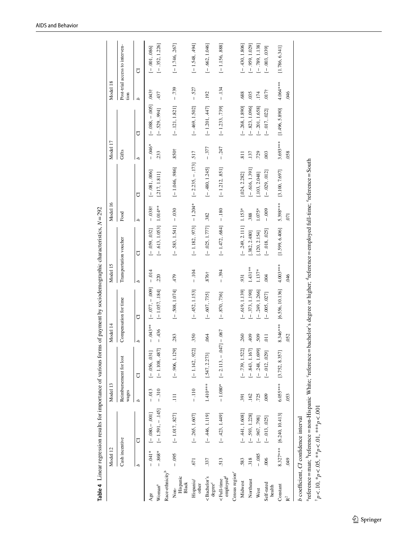|                                                                                                                                                                                                                                                                                                                                                                                                                                                                                           |                | Table 4 Linear regression results for importance of various forms of payment by sociodemographic characteristics, $N = 292$ |            |                        |                   |                       |                        |                          |                |                        |                  |                  |                   |                                |
|-------------------------------------------------------------------------------------------------------------------------------------------------------------------------------------------------------------------------------------------------------------------------------------------------------------------------------------------------------------------------------------------------------------------------------------------------------------------------------------------|----------------|-----------------------------------------------------------------------------------------------------------------------------|------------|------------------------|-------------------|-----------------------|------------------------|--------------------------|----------------|------------------------|------------------|------------------|-------------------|--------------------------------|
|                                                                                                                                                                                                                                                                                                                                                                                                                                                                                           | Model 12       |                                                                                                                             | Model 13   |                        | Model 14          |                       | Model 15               |                          | Model 16       |                        | Model 17         |                  | Model 18          |                                |
|                                                                                                                                                                                                                                                                                                                                                                                                                                                                                           | Cash incentive |                                                                                                                             | wages      | Reimbursement for lost |                   | Compensation for time | Transportation voucher |                          | Food           |                        | Gifts            |                  | tion              | Post-trial access to interven- |
|                                                                                                                                                                                                                                                                                                                                                                                                                                                                                           | ς              | J                                                                                                                           | d          | ð                      | d                 | J                     | d                      | J                        | d              | J                      | م                | ð                | d                 | ð                              |
| Age                                                                                                                                                                                                                                                                                                                                                                                                                                                                                       | $-041*$        | $[-0.080, -0.001]$                                                                                                          | $-0.013$   | $[-.056, .031]$        | $-043**$          | $[-.077, -.000]$      | $-0.14$                | $[-.059, .032]$          | $-0.038$ †     | $[-.081, .006]$        | $-0.46*$         | $[-.088, -.005]$ | .043 <sup>†</sup> | $[-.001, .086]$                |
| Race-ethnicity <sup>b</sup><br>Woman <sup>a</sup>                                                                                                                                                                                                                                                                                                                                                                                                                                         | $-868*$        | $[-1.591, -.145]$                                                                                                           | $-310$     | $[-1.108, 487]$        | $-436$            | $[-1.057, .184]$      | 220                    | $[-.613, 1.053]$ 1.014** |                | [.217, 1.811]          | 233              | $[-.529, .994]$  | 437               | $[-.352, 1.226]$               |
| Hispanic<br>Black<br>$\overline{\text{Non}}$                                                                                                                                                                                                                                                                                                                                                                                                                                              | $-0.095$       | $[-1.017, .827]$                                                                                                            | $\Xi$      | $[-.906, 1.129]$       | .283              | $[-508, 1.074]$       | 479                    | $[-.583, 1.541] - .030$  |                | $[-1.046, .986]$       | $.850+$          | $[-.121, 1.821]$ | $-739$            | $[-1.746, 267]$                |
| Hispanic/<br>other                                                                                                                                                                                                                                                                                                                                                                                                                                                                        | <b>571</b>     | $[-.265, 1.607]$                                                                                                            | $-110$     | $[-1.142, 922]$        | .350              | $[-.452, 1.153]$      | $-104$                 | $[-1.182, 973]$          | $-1.204*$      | $[-2.235, -1.73]$ .517 |                  | $[-.469, 1.502]$ | $-.527$           | $[-1.548, 494]$                |
| <bachelor's<br>degree<sup>c</sup></bachelor's<br>                                                                                                                                                                                                                                                                                                                                                                                                                                         | .337           | $[-.446, 1.119]$                                                                                                            |            | 1.410*** [.547, 2.273] | .064              | $[-.607, .735]$       | .876 <sup>†</sup>      | $[-.025, 1.777]$ .382    |                | $[-.480, 1.245]$       | $-.377$          | $[-1.201, 447]$  | .192              | $[-.662, 1.046]$               |
| employed <sup>d</sup><br><full-time< td=""><td>513</td><td><math>[-.423, 1.449]</math></td><td></td><td><math>-1.080*</math> [-2.113, -</td><td><math>[0.047] - 0.067</math></td><td><math>[-.870, .736]</math></td><td><math>-0.394</math></td><td><math>[-1.472, 084]</math></td><td><math>-180</math></td><td><math>[-1.212, .851]</math></td><td><math>-.247</math></td><td><math>[-1.233, 739]</math></td><td><math>-134</math></td><td><math>[-1.156, 888]</math></td></full-time<> | 513            | $[-.423, 1.449]$                                                                                                            |            | $-1.080*$ [-2.113, -   | $[0.047] - 0.067$ | $[-.870, .736]$       | $-0.394$               | $[-1.472, 084]$          | $-180$         | $[-1.212, .851]$       | $-.247$          | $[-1.233, 739]$  | $-134$            | $[-1.156, 888]$                |
| Census region <sup>e</sup>                                                                                                                                                                                                                                                                                                                                                                                                                                                                |                |                                                                                                                             |            |                        |                   |                       |                        |                          |                |                        |                  |                  |                   |                                |
| Midwest                                                                                                                                                                                                                                                                                                                                                                                                                                                                                   | 583            | $[-.441, 1.608]$                                                                                                            | 391        | $[-.739, 1.522]$       | 260               | $[-.619, 1.139]$      | 931                    | $[-.249, 2.111]$         | $1.153*$       | [.024, 2.282]          | $\overline{811}$ | $[-.268, 1.890]$ | .688              | $[-.430, 1.806]$               |
| Northeast                                                                                                                                                                                                                                                                                                                                                                                                                                                                                 | .318           | $[-.593, 1.228]$                                                                                                            | 162        | $[-.843, 1.167]$       | 409               | $[-.373, 1.190]$      | $1.431**$              | [.382, 2.480]            | .388           | $[-.616, 1.391]$       | .137             | $[-.823, 1.096]$ | .035              | $[-.959, 1.029]$               |
| West                                                                                                                                                                                                                                                                                                                                                                                                                                                                                      | $-0.085$       | $[-.967, .798]$                                                                                                             | .725       | $[-.248, 1.699]$       | 509               | $[-249, 1.266]$       | 1.137*                 | [.120, 2.154]            | $1.075*$       | [.103, 2.048]          | .729             | $[-.201, 1.658]$ | 174               | $[-.789, 1.138]$               |
| Self-rated<br>health                                                                                                                                                                                                                                                                                                                                                                                                                                                                      | .006           | $[-.013, .025]$                                                                                                             | 000        | $[-.012, .029]$        | $\overline{1}$    | $[-.005, .027]$       | 004                    | $[-.018, .025]$          | $-0.009$       | $[-.029, .012]$        | .003             | $[-.017, .022]$  | .017 <sup>†</sup> | $[-.003, .039]$                |
| Constant                                                                                                                                                                                                                                                                                                                                                                                                                                                                                  |                | 8.327*** [6.240, 10.413]                                                                                                    | $6.055***$ | [3.752, 8.357]         | 8.346***          | [6.556, 10.136]       | $4.003***$             | [1.599, 6.406]           | 5.398***       | [3.100, 7.697]         | $3.693***$       | [1.496, 5.890]   | 4.064 ***         | [1.786, 6.341]                 |
| $\mathbf{\hat{R}}^2$                                                                                                                                                                                                                                                                                                                                                                                                                                                                      | 600            |                                                                                                                             | 053        |                        | 052               |                       | 646                    |                          | $\overline{0}$ |                        | .058             |                  | 646               |                                |
| b coefficient, CI confidence interval                                                                                                                                                                                                                                                                                                                                                                                                                                                     |                |                                                                                                                             |            |                        |                   |                       |                        |                          |                |                        |                  |                  |                   |                                |

<span id="page-8-0"></span>

"reference = man; "reference = non-Hispanic White; "reference = bachelor's degree or higher; "reference = employed full-time; "reference = South  $^{\dagger}p < .10, \,^{\ast}p < .05, \,^{\ast\ast}p < .04, \,^{\ast\ast\ast}p < .001$ heference=man; breference=non-Hispanic White; 'reference=bachelor's degree or higher; theference=employed full-time; 'reference=South †*p*<.10, \**p*<.05, \*\**p*<.01, \*\*\**p*<.001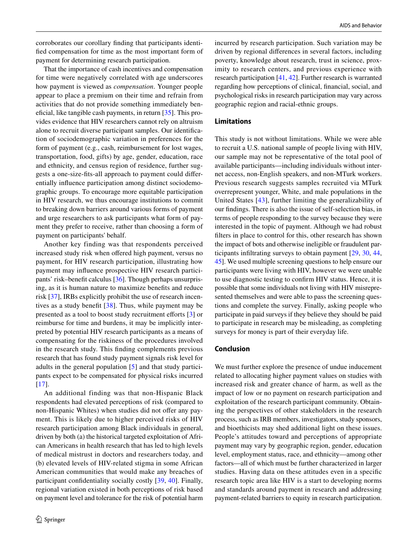corroborates our corollary fnding that participants identifed compensation for time as the most important form of payment for determining research participation.

That the importance of cash incentives and compensation for time were negatively correlated with age underscores how payment is viewed as *compensation*. Younger people appear to place a premium on their time and refrain from activities that do not provide something immediately beneficial, like tangible cash payments, in return  $[35]$  $[35]$ . This provides evidence that HIV researchers cannot rely on altruism alone to recruit diverse participant samples. Our identifcation of sociodemographic variation in preferences for the form of payment (e.g., cash, reimbursement for lost wages, transportation, food, gifts) by age, gender, education, race and ethnicity, and census region of residence, further suggests a one-size-fts-all approach to payment could diferentially infuence participation among distinct sociodemographic groups. To encourage more equitable participation in HIV research, we thus encourage institutions to commit to breaking down barriers around various forms of payment and urge researchers to ask participants what form of payment they prefer to receive, rather than choosing a form of payment on participants' behalf.

Another key finding was that respondents perceived increased study risk when offered high payment, versus no payment, for HIV research participation, illustrating how payment may infuence prospective HIV research participants' risk–beneft calculus [\[36](#page-11-11)]. Though perhaps unsurprising, as it is human nature to maximize benefts and reduce risk [[37](#page-11-12)], IRBs explicitly prohibit the use of research incentives as a study beneft [[38](#page-11-13)]. Thus, while payment may be presented as a tool to boost study recruitment efforts [[3\]](#page-10-1) or reimburse for time and burdens, it may be implicitly interpreted by potential HIV research participants as a means of compensating for the riskiness of the procedures involved in the research study. This fnding complements previous research that has found study payment signals risk level for adults in the general population [\[5](#page-10-3)] and that study participants expect to be compensated for physical risks incurred [\[17\]](#page-10-12).

An additional finding was that non-Hispanic Black respondents had elevated perceptions of risk (compared to non-Hispanic Whites) when studies did not offer any payment. This is likely due to higher perceived risks of HIV research participation among Black individuals in general, driven by both (a) the historical targeted exploitation of African Americans in health research that has led to high levels of medical mistrust in doctors and researchers today, and (b) elevated levels of HIV-related stigma in some African American communities that would make any breaches of participant confdentiality socially costly [\[39](#page-11-14), [40\]](#page-11-15). Finally, regional variation existed in both perceptions of risk based on payment level and tolerance for the risk of potential harm incurred by research participation. Such variation may be driven by regional diferences in several factors, including poverty, knowledge about research, trust in science, proximity to research centers, and previous experience with research participation [[41,](#page-11-16) [42](#page-11-17)]. Further research is warranted regarding how perceptions of clinical, fnancial, social, and psychological risks in research participation may vary across geographic region and racial-ethnic groups.

## **Limitations**

This study is not without limitations. While we were able to recruit a U.S. national sample of people living with HIV, our sample may not be representative of the total pool of available participants—including individuals without internet access, non-English speakers, and non-MTurk workers. Previous research suggests samples recruited via MTurk overrepresent younger, White, and male populations in the United States [[43\]](#page-11-18), further limiting the generalizability of our fndings. There is also the issue of self-selection bias, in terms of people responding to the survey because they were interested in the topic of payment. Although we had robust flters in place to control for this, other research has shown the impact of bots and otherwise ineligible or fraudulent participants infltrating surveys to obtain payment [[29](#page-11-4), [30](#page-11-5), [44,](#page-11-19) [45](#page-11-20)]. We used multiple screening questions to help ensure our participants were living with HIV, however we were unable to use diagnostic testing to confrm HIV status. Hence, it is possible that some individuals not living with HIV misrepresented themselves and were able to pass the screening questions and complete the survey. Finally, asking people who participate in paid surveys if they believe they should be paid to participate in research may be misleading, as completing surveys for money is part of their everyday life.

## **Conclusion**

We must further explore the presence of undue inducement related to allocating higher payment values on studies with increased risk and greater chance of harm, as well as the impact of low or no payment on research participation and exploitation of the research participant community. Obtaining the perspectives of other stakeholders in the research process, such as IRB members, investigators, study sponsors, and bioethicists may shed additional light on these issues. People's attitudes toward and perceptions of appropriate payment may vary by geographic region, gender, education level, employment status, race, and ethnicity—among other factors—all of which must be further characterized in larger studies. Having data on these attitudes even in a specifc research topic area like HIV is a start to developing norms and standards around payment in research and addressing payment-related barriers to equity in research participation.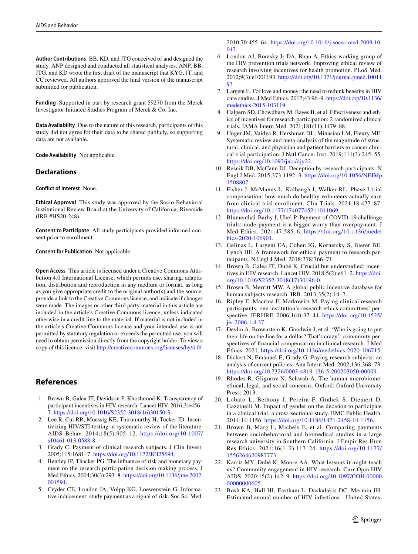**Author Contributions** BB, KD, and JTG conceived of and designed the study. ANP designed and conducted all statistical analyses. ANP, BB, JTG, and KD wrote the frst draft of the manuscript that KYG, JT, and CC reviewed. All authors approved the fnal version of the manuscript submitted for publication.

**Funding** Supported in part by research grant 59270 from the Merck Investigator Initiated Studies Program of Merck & Co, Inc.

**Data Availability** Due to the nature of this research, participants of this study did not agree for their data to be shared publicly, so supporting data are not available.

**Code Availability** Not applicable.

## **Declarations**

**Conflict of interest** None.

**Ethical Approval** This study was approved by the Socio-Behavioral Institutional Review Board at the University of California, Riverside (IRB #HS20-248).

**Consent to Participate** All study participants provided informed consent prior to enrollment.

**Consent for Publication** Not applicable.

**Open Access** This article is licensed under a Creative Commons Attribution 4.0 International License, which permits use, sharing, adaptation, distribution and reproduction in any medium or format, as long as you give appropriate credit to the original author(s) and the source, provide a link to the Creative Commons licence, and indicate if changes were made. The images or other third party material in this article are included in the article's Creative Commons licence, unless indicated otherwise in a credit line to the material. If material is not included in the article's Creative Commons licence and your intended use is not permitted by statutory regulation or exceeds the permitted use, you will need to obtain permission directly from the copyright holder. To view a copy of this licence, visit <http://creativecommons.org/licenses/by/4.0/>.

# **References**

- <span id="page-10-0"></span>1. Brown B, Galea JT, Davidson P, Khoshnood K. Transparency of participant incentives in HIV research. Lancet HIV. 2016;3:e456– 7. [https://doi.org/10.1016/S2352-3018\(16\)30150-3.](https://doi.org/10.1016/S2352-3018(16)30150-3)
- 2. Lee R, Cui RR, Muessig KE, Thirumurthy H, Tucker JD. Incentivizing HIV/STI testing: a systematic review of the literature. AIDS Behav. 2014;18(5):905–12. [https://doi.org/10.1007/](https://doi.org/10.1007/s10461-013-0588-8) [s10461-013-0588-8.](https://doi.org/10.1007/s10461-013-0588-8)
- <span id="page-10-1"></span>3. Grady C. Payment of clinical research subjects. J Clin Invest. 2005;115:1681–7. <https://doi.org/10.1172/JCI25694>.
- <span id="page-10-2"></span>4. Bentley JP, Thacker PG. The infuence of risk and monetary payment on the research participation decision making process. J Med Ethics. 2004;30(3):293–8. [https://doi.org/10.1136/jme.2002.](https://doi.org/10.1136/jme.2002.001594) [001594.](https://doi.org/10.1136/jme.2002.001594)
- <span id="page-10-3"></span>5. Cryder CE, London JA, Volpp KG, Loewenstein G. Informative inducement: study payment as a signal of risk. Soc Sci Med.

2010;70:455–64. [https://doi.org/10.1016/j.socscimed.2009.10.](https://doi.org/10.1016/j.socscimed.2009.10.047) [047](https://doi.org/10.1016/j.socscimed.2009.10.047).

- <span id="page-10-4"></span>6. London AJ, Borasky Jr DA, Bhan A, Ethics working group of the HIV prevention trials network. Improving ethical review of research involving incentives for health promotion. PLoS Med. 2012;9(3):e1001193. [https://doi.org/10.1371/journal.pmed.10011](https://doi.org/10.1371/journal.pmed.1001193) 03
- <span id="page-10-5"></span>7. Largent E. For love and money: the need to rethink benefts in HIV cure studies. J Med Ethics. 2017;43:96–9. [https://doi.org/10.1136/](https://doi.org/10.1136/medethics-2015-103119) [medethics-2015-103119.](https://doi.org/10.1136/medethics-2015-103119)
- 8. Halpern SD, Chowdhury M, Bayes B, et al. Efectiveness and ethics of incentives for research participation: 2 randomized clinical trials. JAMA Intern Med. 2021;181(11):1479–88.
- <span id="page-10-6"></span>9. Unger JM, Vaidya R, Hershman DL, Minasian LM, Fleury ME. Systematic review and meta-analysis of the magnitude of structural, clinical, and physician and patient barriers to cancer clinical trial participation. J Natl Cancer Inst. 2019;111(3):245–55. <https://doi.org/10.1093/jnci/djy22>.
- <span id="page-10-7"></span>10. Resnik DB, McCann DJ. Deception by research participants. N Engl J Med. 2015;373:1192–3. [https://doi.org/10.1056/NEJMp](https://doi.org/10.1056/NEJMp1508807) [1508807](https://doi.org/10.1056/NEJMp1508807).
- 11. Fisher J, McManus L, Kalbaugh J, Walker RL. Phase I trial compensation: how much do healthy volunteers actually earn from clinical trial enrollment. Clin Trials. 2021;18:477–87. <https://doi.org/10.1177/17407745211011069>.
- <span id="page-10-8"></span>12. Blumenthal-Barby J, Ubel P. Payment of COVID-19 challenge trials: underpayment is a bigger worry than overpayment. J Med Ethics. 2021;47:585–6. [https://doi.org/10.1136/medet](https://doi.org/10.1136/medethics-2020-106901) [hics-2020-106901.](https://doi.org/10.1136/medethics-2020-106901)
- <span id="page-10-10"></span>13. Gelinas L, Largent EA, Cohen IG, Kornetsky S, Bierer BE, Lynch HF. A framework for ethical payment to research participants. N Engl J Med. 2018;378:766–71.
- 14. Brown B, Galea JT, Dubé K. Crucial but understudied: incentives in HIV research. Lancet HIV. 2018;5(2):e61–2. [https://doi.](https://doi.org/10.1016/S2352-3018(17)30196-0) [org/10.1016/S2352-3018\(17\)30196-0](https://doi.org/10.1016/S2352-3018(17)30196-0).
- <span id="page-10-9"></span>15. Brown B, Merritt MW. A global public incentive database for human subjects research. IRB. 2013;35(2):14–7.
- <span id="page-10-11"></span>16. Ripley E, Macrina F, Markowitz M. Paying clinical research participants: one institution's research ethics committees' perspective. JERHRE. 2006;1(4):37–44. [https://doi.org/10.1525/](https://doi.org/10.1525/jer.2006.1.4.37) [jer.2006.1.4.37.](https://doi.org/10.1525/jer.2006.1.4.37)
- <span id="page-10-12"></span>17. Devlin A, Brownstein K, Goodwin J, et al. 'Who is going to put their life on the line for a dollar? That's crazy': community perspectives of fnancial compensation in clinical research. J Med Ethics. 2021. <https://doi.org/10.1136/medethics-2020-106715>.
- <span id="page-10-13"></span>18. Dickert N, Emanuel E, Grady G. Paying research subjects: an analysis of current policies. Ann Intern Med. 2002;136:368–73. [https://doi.org/10.7326/0003-4819-136-5-200203050-00009.](https://doi.org/10.7326/0003-4819-136-5-200203050-00009)
- <span id="page-10-14"></span>19. Rhodes R, Gligorov N, Schwab A. The human microbiome: ethical, legal, and social concerns. Oxford: Oxford University Press; 2013.
- <span id="page-10-15"></span>20. Lobato L, Bethony J, Pereira F, Grahek S, Diemert D, Gazzinelli M. Impact of gender on the decision to participate in a clinical trial: a cross-sectional study. BMC Public Health. 2014;14:1156. [https://doi.org/10.1186/1471-2458-14-1156.](https://doi.org/10.1186/1471-2458-14-1156)
- <span id="page-10-16"></span>21. Brown B, Marg L, Michels E, et al. Comparing payments between sociobehavioral and biomedical studies in a large research university in Southern California. J Empir Res Hum Res Ethics. 2021;16(1–2):117–24. [https://doi.org/10.1177/](https://doi.org/10.1177/1556264620987773) [1556264620987773.](https://doi.org/10.1177/1556264620987773)
- <span id="page-10-17"></span>22. Karris MY, Dubé K, Moore AA. What lessons it might teach us? Community engagement in HIV research. Curr Opin HIV AIDS. 2020;15(2):142–9. [https://doi.org/10.1097/COH.00000](https://doi.org/10.1097/COH.0000000000000605) [00000000605.](https://doi.org/10.1097/COH.0000000000000605)
- <span id="page-10-18"></span>23. Bosh KA, Hall HI, Eastham L, Daskalakis DC, Mermin JH. Estimated annual number of HIV infections—United States,